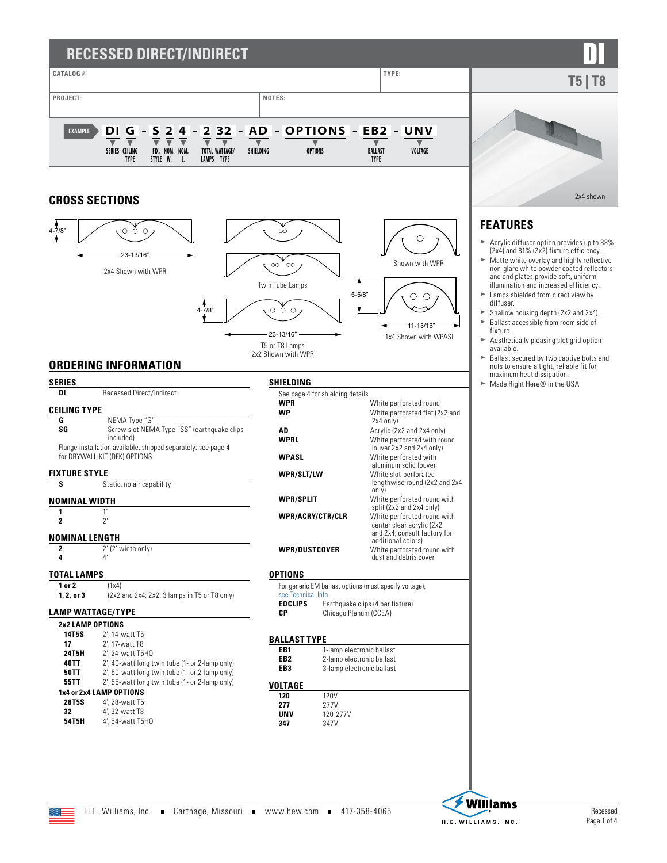# **RECESSED DIRECT/INDIRECT**





### **ORDERING INFORMATION**

| <b>SERIES</b>         |                                                                                                 |
|-----------------------|-------------------------------------------------------------------------------------------------|
| DI                    | <b>Recessed Direct/Indirect</b>                                                                 |
| <b>CEILING TYPE</b>   |                                                                                                 |
| G                     | NEMA Type "G"                                                                                   |
| SG                    | Screw slot NEMA Type "SS" (earthquake clips<br>included)                                        |
|                       | Flange installation available, shipped separately: see page 4<br>for DRYWALL KIT (DFK) OPTIONS. |
| <b>FIXTURE STYLE</b>  |                                                                                                 |
| S                     | Static, no air capability                                                                       |
| <b>NOMINAL WIDTH</b>  |                                                                                                 |
| 1                     | 1'                                                                                              |
| 2                     | $\mathcal{V}'$                                                                                  |
| <b>NOMINAL LENGTH</b> |                                                                                                 |
| 2                     | 2' (2' width only)                                                                              |
| 4                     | Δ'                                                                                              |
| TOTAL LAMPS           |                                                                                                 |
| 1 or 2                | (1x4)                                                                                           |
| 1.2. or 3             | $(2x2$ and $2x4$ ; $2x2$ : 3 lamps in T5 or T8 only)                                            |
|                       | <b>LAMP WATTAGE/TYPE</b>                                                                        |
|                       | <b>2x2 LAMP OPTIONS</b>                                                                         |
| 14T5S                 | 2'. 14-watt T5                                                                                  |
| 17                    | 2', 17-watt T8                                                                                  |
| 24T5H                 | 2'. 24-watt T5H0                                                                                |
| 40TT                  | 2', 40-watt long twin tube (1- or 2-lamp only)                                                  |
| 50TT                  | 2', 50-watt long twin tube (1- or 2-lamp only)                                                  |
| 55TT                  | 2', 55-watt long twin tube (1- or 2-lamp only)                                                  |
|                       | 1x4 or 2x4 LAMP OPTIONS                                                                         |
| 28T5S                 | 4'. 28-watt T5                                                                                  |

| <b>SHIELDING</b>     |                                   |                                                                                                                |
|----------------------|-----------------------------------|----------------------------------------------------------------------------------------------------------------|
|                      | See page 4 for shielding details. |                                                                                                                |
| <b>WPR</b>           |                                   | White perforated round                                                                                         |
| <b>WP</b>            |                                   | White perforated flat (2x2 and<br>2x4 only)                                                                    |
| AD                   |                                   | Acrylic (2x2 and 2x4 only)                                                                                     |
| <b>WPRL</b>          |                                   | White perforated with round<br>louver 2x2 and 2x4 only)                                                        |
| <b>WPASL</b>         |                                   | White perforated with<br>aluminum solid louver                                                                 |
| WPR/SLT/LW           |                                   | White slot-perforated<br>lengthwise round (2x2 and 2x4<br>only)                                                |
| <b>WPR/SPLIT</b>     |                                   | White perforated round with<br>split (2x2 and 2x4 only)                                                        |
| WPR/ACRY/CTR/CLR     |                                   | White perforated round with<br>center clear acrylic (2x2<br>and 2x4; consult factory for<br>additional colors) |
| <b>WPR/DUSTCOVER</b> |                                   | White perforated round with<br>dust and debris cover                                                           |
| <b>OPTIONS</b>       |                                   |                                                                                                                |
| see Technical Info.  |                                   | For generic EM ballast options (must specify voltage),                                                         |
| <b>EQCLIPS</b>       |                                   | Earthquake clips (4 per fixture)                                                                               |
| СP                   | Chicago Plenum (CCEA)             |                                                                                                                |
| <b>BALLAST TYPE</b>  |                                   |                                                                                                                |
| FB <sub>1</sub>      | 1-lamp electronic ballast         |                                                                                                                |
| FB2                  | 2-lamp electronic ballast         |                                                                                                                |
| FB3                  | 3-lamp electronic ballast         |                                                                                                                |
| VOLTAGE              |                                   |                                                                                                                |
| 120                  | 120V                              |                                                                                                                |
| 277                  | 277V                              |                                                                                                                |
| unv                  | 120-277V                          |                                                                                                                |
| 347                  | 347V                              |                                                                                                                |

- non-glare white powder coated reflectors and end plates provide soft, uniform illumination and increased efficiency.
- $\blacktriangleright$  Lamps shielded from direct view by diffuser.
- $\triangleright$  Shallow housing depth (2x2 and 2x4).<br> $\triangleright$  Ballast accessible from room side of Ballast accessible from room side of
- fixture.
- $\blacktriangleright$  Aesthetically pleasing slot grid option available.
- ► Ballast secured by two captive bolts and<br>nuts to ensure a tight, reliable fit for<br>maximum heat dissipation.
- ► Made Right Here® in the USA





**32** 4', 32-watt T8 **54T5H** 4', 54-watt T5HO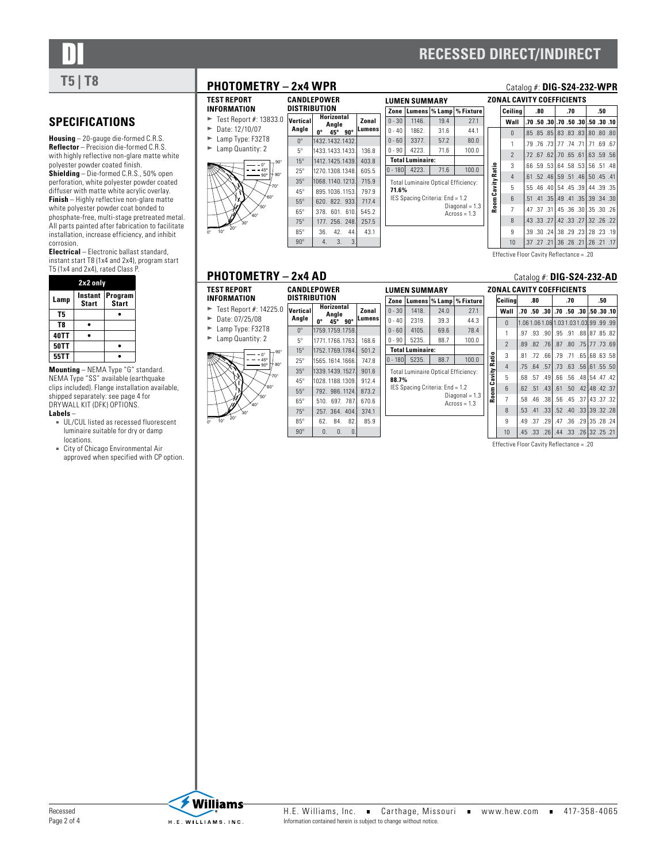

# DI **RECESSED DIRECT/INDIRECT**

# **T5** | T8 **PHOTOMETRY – 2x4 WPR** Catalog #: **DIG-S24-232-WPR**

## **SPECIFICATIONS**

**Housing** – 20-gauge die-formed C.R.S. **Reflector** – Precision die-formed C.R.S. with highly reflective non-glare matte white polyester powder coated finish.

**Shielding** – Die-formed C.R.S., 50% open perforation, white polyester powder coated diffuser with matte white acrylic overlay. **Finish** – Highly reflective non-glare matte white polyester powder coat bonded to phosphate-free, multi-stage pretreated metal. All parts painted after fabrication to facilitate installation, increase efficiency, and inhibit corrosion.

**Electrical** – Electronic ballast standard, instant start T8 (1x4 and 2x4), program start T5 (1x4 and 2x4), rated Class P.

|             | 2x2 only                |                  |
|-------------|-------------------------|------------------|
| Lamp        | Instant<br><b>Start</b> | Program<br>Start |
| T5          |                         |                  |
| T8          |                         |                  |
| 40TT        |                         |                  |
| <b>50TT</b> |                         |                  |
| 55TT        |                         |                  |

**Mounting** – NEMA Type "G" standard. NEMA Type "SS" available (earthquake clips included). Flange installation available, shipped separately: [see page 4 for](#page-3-0)  [DRYWALL KIT \(DFK\) OPTIONS](#page-3-0).

### **Labels** –

- UL/CUL listed as recessed fluorescent luminaire suitable for dry or damp locations.
- City of Chicago Environmental Air approved when specified with CP option.



**TEST REPORT INFORMATION**

|                        | DISTRIBUTION      | CANDLEPOWER                                    |                |
|------------------------|-------------------|------------------------------------------------|----------------|
| 3833.0                 | Vertical<br>Angle | Horizontal<br>Anale<br>0°<br>$90^\circ$<br>45° | Zonal<br>umens |
| L8                     | $0^{\circ}$       | 1432.1432.1432.                                |                |
| 2                      | $5^{\circ}$       | 1433.1433.1433.                                | 136.8          |
| $90^{\circ}$<br>o      | $15^\circ$        | 1412.1425.1439.                                | 403.8          |
| 5°<br>0°<br>$80^\circ$ | $25^\circ$        | 1270.1308.1348.                                | 605.5          |
| $70^{\circ}$           | $35^\circ$        | 1068.1140.1213.                                | 715.9          |
|                        | $45^\circ$        | 895.1036.1153.                                 | 797.9          |
| ⊁ <sub>60°</sub><br>١° | $55^\circ$        | 620, 822, 933.                                 | 717.4          |
|                        | $65^\circ$        | 601 610<br>378.                                | 545.2          |
|                        | $75^\circ$        | 177, 256, 248.                                 | 257.5          |
|                        | $85^\circ$        | 36.<br>42.<br>44                               | 43.1           |
|                        | $90^\circ$        | 3.<br>3<br>4.                                  |                |

|                |           | <b>LUMEN SUMMARY</b>                       |      |                                    |
|----------------|-----------|--------------------------------------------|------|------------------------------------|
|                | Zone      |                                            |      | Lumens   % Lamp   % Fixture        |
| ı              | $0 - 30$  | 1146.                                      | 19.4 | 27.1                               |
| ns             | $0 - 40$  | 1862.                                      | 31.6 | 44.1                               |
|                | $0 - 60$  | 3377                                       | 57.2 | 80.0                               |
| 8              | $0 - 90$  | 4223.                                      | 71.6 | 100.0                              |
| 8              |           | <b>Total Luminaire:</b>                    |      |                                    |
| 5              | $0 - 180$ | 4223.                                      | 71.6 | 100.0                              |
| 9              |           | <b>Total Luminaire Optical Efficiency:</b> |      |                                    |
| 9              | 71.6%     |                                            |      |                                    |
| 4              |           | IES Spacing Criteria: End = 1.2            |      |                                    |
| $\overline{c}$ |           |                                            |      | $Diagonal = 1.3$<br>$Across = 1.3$ |
| 5              |           |                                            |      |                                    |
| 1              |           |                                            |      |                                    |
|                |           |                                            |      |                                    |

| ZONAL CAVITY COEFFICIENTS<br>Ceiling<br>.80<br>.70<br>.50<br>.70, 08, 05, 050, 050, 07, 06, 050, 07,<br>Wall<br>.85.08.081.83.83.83.080.080<br>$\Omega$<br>1<br>.78. 69. 71. 71. 74. 77. 77. 78. 79. 79.<br>$\overline{\phantom{a}}$<br>.72.67.62 .70.65.61 .63.07 .67.<br>Room Cavity Ratio<br>3<br>.66 .59 .53 .64 .58 .53 .56 .51 .48<br>.41, 45, 46, 46, 51, 45, 46, 46, 52, 61.<br>4<br>5<br>.35, 39, 39, 39, 39, 40, 40, 40, 55, 55,<br>.51 .41 .35 .49 .41 .35 .39 .34 .30<br>6<br>$\overline{7}$<br>.47 .37 .31 .45 .36 .30 .35 .30 .26 |    |  |                                          |  |  |  |
|-------------------------------------------------------------------------------------------------------------------------------------------------------------------------------------------------------------------------------------------------------------------------------------------------------------------------------------------------------------------------------------------------------------------------------------------------------------------------------------------------------------------------------------------------|----|--|------------------------------------------|--|--|--|
|                                                                                                                                                                                                                                                                                                                                                                                                                                                                                                                                                 |    |  |                                          |  |  |  |
|                                                                                                                                                                                                                                                                                                                                                                                                                                                                                                                                                 |    |  |                                          |  |  |  |
|                                                                                                                                                                                                                                                                                                                                                                                                                                                                                                                                                 |    |  |                                          |  |  |  |
|                                                                                                                                                                                                                                                                                                                                                                                                                                                                                                                                                 |    |  |                                          |  |  |  |
|                                                                                                                                                                                                                                                                                                                                                                                                                                                                                                                                                 |    |  |                                          |  |  |  |
|                                                                                                                                                                                                                                                                                                                                                                                                                                                                                                                                                 |    |  |                                          |  |  |  |
|                                                                                                                                                                                                                                                                                                                                                                                                                                                                                                                                                 |    |  |                                          |  |  |  |
|                                                                                                                                                                                                                                                                                                                                                                                                                                                                                                                                                 |    |  |                                          |  |  |  |
|                                                                                                                                                                                                                                                                                                                                                                                                                                                                                                                                                 |    |  |                                          |  |  |  |
|                                                                                                                                                                                                                                                                                                                                                                                                                                                                                                                                                 |    |  |                                          |  |  |  |
|                                                                                                                                                                                                                                                                                                                                                                                                                                                                                                                                                 | 8  |  | .43.33.27 .42.33.27 .33.27 .43.          |  |  |  |
|                                                                                                                                                                                                                                                                                                                                                                                                                                                                                                                                                 | 9  |  | .39. 23. 28. 29. 29. 29. 24. 38. 39. 39. |  |  |  |
|                                                                                                                                                                                                                                                                                                                                                                                                                                                                                                                                                 | 10 |  | .17. 21. 26. 21. 26. 26. 21. 27. 27. 37. |  |  |  |

Effective Floor Cavity Reflectance = .20

### **PHOTOMETRY - 2x4 AD** Catalog #: DIG-S24-232-AD

| TEST REPORT<br>INFORMATION                         | <b>CANDLEPOWER</b><br>DISTRIBUTION |                 |                                   |                 |                        |
|----------------------------------------------------|------------------------------------|-----------------|-----------------------------------|-----------------|------------------------|
| Test Report #: 14225.0<br>►<br>Date: 07/25/08<br>► | Vertical<br>Angle                  | ŋ۰              | <b>Horizontal</b><br>Anale<br>45° | $90^\circ$      | Zonal<br><b>Lumen:</b> |
| Lamp Type: F32T8<br>►                              | $0^{\circ}$                        | 1759.1759.1759. |                                   |                 |                        |
| Lamp Quantity: 2<br>►                              | $5^\circ$                          |                 | 1771.1766.1763.                   |                 | 168.6                  |
| $90^\circ$<br>n۰                                   | $15^\circ$                         | 1752.1769.1784. |                                   |                 | 501.2                  |
| 45°<br>$80^\circ$<br>90°                           | $25^\circ$                         | 1565.1614.1666. |                                   |                 | 747.8                  |
| $70^{\circ}$                                       | $35^\circ$                         | 1339.1439.1527. |                                   |                 | 901.6                  |
|                                                    | $45^\circ$                         | 1028.1188.1309. |                                   |                 | 912.4                  |
| $60^\circ$<br>$50^\circ$                           | $55^\circ$                         |                 |                                   | 792. 986. 1124. | 873.2                  |
| $40^\circ$                                         | $65^\circ$                         | 510.            |                                   | 697 787         | 670.6                  |
| $30^\circ$                                         | $75^\circ$                         |                 |                                   | 257. 364. 404.  | 374.1                  |
| $\dot 20^\circ$<br>$10^{\circ}$<br>'n۰             | $85^\circ$                         | 62.             | 84.                               | 82              | 85.9                   |
|                                                    | $90^\circ$                         | $\Omega$ .      | $\Omega$ .                        | O               |                        |

|        |           |                         |                                            |                                    |                   |                           |                   | Catalog $\#$ : D  |    |
|--------|-----------|-------------------------|--------------------------------------------|------------------------------------|-------------------|---------------------------|-------------------|-------------------|----|
|        |           | <b>LUMEN SUMMARY</b>    |                                            |                                    |                   | <b>ZONAL CAVITY COEFI</b> |                   |                   |    |
|        |           |                         |                                            | Zone   Lumens   % Lamp   % Fixture |                   | Ceilina                   | .80               |                   |    |
| Zonal  | $0 - 30$  | 1418.                   | 24.0                                       | 27.1                               |                   | Wall                      |                   | $.70$ $.50$ $.30$ | ÷  |
| Lumens | $0 - 40$  | 2319.                   | 39.3                                       | 44.3                               |                   | $\Omega$                  |                   | 1.061.061.061     |    |
|        | $0 - 60$  | 4105.                   | 69.6                                       | 78.4                               |                   |                           | .97 .93 .90       |                   | J  |
| 168.6  | $0 - 90$  | 5235.                   | 88.7                                       | 100.0                              |                   | $\mathfrak{p}$            | $.89$ $.82$ $.76$ |                   | J  |
| 501.2  |           | <b>Total Luminaire:</b> |                                            |                                    |                   | 3                         |                   |                   |    |
| 747.8  | $0 - 180$ | 5235.                   | 88.7                                       | 100.0                              |                   |                           | $.81$ $.72$ $.66$ |                   |    |
| 901.6  |           |                         | <b>Total Luminaire Optical Efficiency:</b> |                                    |                   | 4                         | .75 .64 .57       |                   |    |
| 912.4  | 88.7%     |                         |                                            |                                    |                   | 5                         | .68 .57 .49       |                   | J  |
| 873.2  |           |                         | IES Spacing Criteria: End = 1.2            |                                    | Room Cavity Ratio | 6                         | $.62$ $.51$ $.43$ |                   | l, |
| 670.6  |           |                         |                                            | $Diagonal = 1.3$<br>$Across = 1.3$ |                   | 7                         | .58 .46 .38       |                   | J  |
| 374.1  |           |                         |                                            |                                    |                   | 8                         | .53 .41 .33       |                   | J  |
| 85.9   |           |                         |                                            |                                    |                   | 9                         | .49.37.29         |                   | J. |
|        |           |                         |                                            |                                    |                   |                           |                   |                   |    |

|                   | ZONAL CAVITY COLFFICIENTS |                |     |                                                  |                         |  |     |  |
|-------------------|---------------------------|----------------|-----|--------------------------------------------------|-------------------------|--|-----|--|
|                   | Ceilina                   | .80            |     |                                                  | .70                     |  | .50 |  |
|                   | Wall                      |                |     | .70, 30, 30, 30, 50, 70, 30, 50, 70, 70, 70,     |                         |  |     |  |
|                   | $\Omega$                  |                |     | 1.06 1.06 1.06 1.03 1.03 1.03 99 .99 .99         |                         |  |     |  |
|                   | 1                         |                |     | .97 .93 .90 .95 .91 .88 .87 .85 .82              |                         |  |     |  |
|                   | $\overline{2}$            |                |     | .89, 73, 75, 77, 75, 70, 87, 88, 76, 87, 89, 89, |                         |  |     |  |
|                   | 3                         |                |     | .81 .72 .66 .79 .71 .65 .68 .63 .58              |                         |  |     |  |
| Room Cavity Ratio | $\overline{4}$            |                |     | .75 .64 .57 .57 .63 .63 .56 .64 .75              |                         |  |     |  |
|                   | 5                         | .68 .57        | .49 |                                                  | .66 .56 .48 .54 .47 .42 |  |     |  |
|                   | 6                         |                |     | .62 .51 .43 .61 .50 .42 .48 .42 .37              |                         |  |     |  |
|                   | $\overline{7}$            |                |     | .58. 37. 37. 38. 45. 45. 37. 46. 58.             |                         |  |     |  |
|                   | 8                         | $.53 \quad 41$ |     | .33 .52 .40 .33 .39 .32 .28                      |                         |  |     |  |
|                   | 9                         | .49.37.29      |     |                                                  | .47.88.29.35.28.74      |  |     |  |
|                   | 10                        |                |     | .45 .32 .25 .33 .44 .33 .26 .32 .25              |                         |  |     |  |

Effective Floor Cavity Reflectance = .20



**Williams** H.E. WILLIAMS.INC.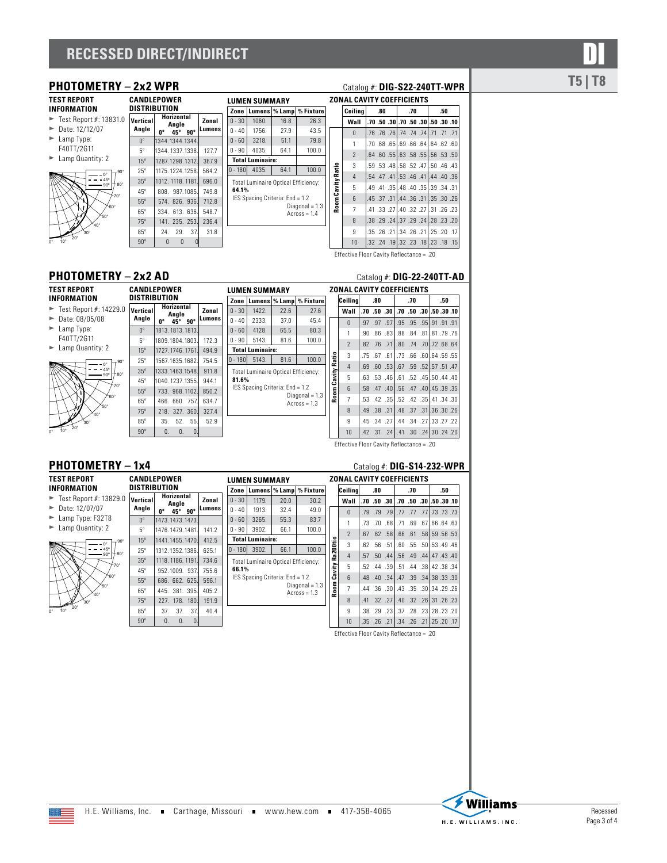# **RECESSED DIRECT/INDIRECT**

**CANDLEPOWER** 

# **PHOTOMETRY – 2x2 WPR** Catalog #: DIG-S22-240TT-WPR **T5** | T8

**TEST REPORT INFORMATION**

 $\blacktriangleright$  Test Report #: 13831.0

 $\blacktriangleright$  Date: 12/12/07

- $\blacktriangleright$  Lamp Type:
- F40TT/2G11



|   | DISTRIBUTION      |          |                            |            |             |
|---|-------------------|----------|----------------------------|------------|-------------|
| Ŋ | Vertical<br>Angle | 0°       | Horizontal<br>Anale<br>45° | $90^\circ$ | Zonal<br>ıs |
|   | $\mathsf{U}_0$    |          | 1344.1344.1344             |            |             |
|   | $5^{\circ}$       |          | 1344.1337.1338             |            | 127.7       |
|   | $15^\circ$        |          | 1287.1298.1312.            |            | 367.9       |
| ó | $25^\circ$        |          | 1175.1224.1258             |            | 564.2       |
| ö | $35^\circ$        |          | 1012, 1118, 1181.          |            | 696.0       |
|   | $45^\circ$        |          | 808. 987.1085.             |            | 749.8       |
|   | $55^\circ$        |          | 574, 826, 936.             |            | 712.8       |
|   | $65^\circ$        |          | 334 613 636                |            | 548.7       |
|   | $75^\circ$        |          | 141 235 253                |            | 236.4       |
|   | $85^\circ$        | 24       | 29.                        | 37         | 31.8        |
|   | $90^\circ$        | $\Omega$ | $\Omega$                   |            |             |

|       |           | <b>LUMEN SUMMARY</b>                       |      |                                    |
|-------|-----------|--------------------------------------------|------|------------------------------------|
|       | Zone      |                                            |      | Lumens   % Lamp   % Fixture        |
| Zonal | $0 - 30$  | 1060.                                      | 16.8 | 26.3                               |
| umens | $0 - 40$  | 1756.                                      | 27.9 | 43.5                               |
|       | $0 - 60$  | 3218.                                      | 51.1 | 79.8                               |
| 127.7 | $0 - 90$  | 4035.                                      | 64.1 | 100.0                              |
| 367.9 |           | <b>Total Luminaire:</b>                    |      |                                    |
| 564.2 | $0 - 180$ | 4035.                                      | 64.1 | 100.0                              |
| 696.0 |           | <b>Total Luminaire Optical Efficiency:</b> |      |                                    |
| 749.8 | 64.1%     |                                            |      |                                    |
| 712.8 |           | IES Spacing Criteria: End = 1.2            |      |                                    |
| 548.7 |           |                                            |      | Diagonal = $1.3$<br>Across = $1.4$ |
| 236.4 |           |                                            |      |                                    |
| 31.8  |           |                                            |      |                                    |
|       |           |                                            |      |                                    |

| ZONAL CAVITY COEFFICIENTS |                |                                          |  |  |     |  |  |     |  |
|---------------------------|----------------|------------------------------------------|--|--|-----|--|--|-----|--|
|                           | Ceilina        | .80                                      |  |  | .70 |  |  | .50 |  |
|                           | Wall           | .70, 30, 30, 30, 30, 30, 30, 50, 70, 70, |  |  |     |  |  |     |  |
|                           | $\Omega$       | 71, 71, 77. 74. 74, 74, 76. 76. 76. 76.  |  |  |     |  |  |     |  |
|                           | 1              | .70, 68, 641.64, 66, 691.68, 68, 70,     |  |  |     |  |  |     |  |
|                           | $\mathcal{P}$  | .64 .60 .55 .63 .58 .55 .56 .53 .50      |  |  |     |  |  |     |  |
|                           | 3              | .59. 46. 47 .50. 52. 48 .58. 59. 59.     |  |  |     |  |  |     |  |
|                           | $\overline{4}$ | .54 .47 .41 .53 .46 .41 .44 .40 .36      |  |  |     |  |  |     |  |
| Room Cavity Ratio         | 5              | 31. 34. 39. 35. 40. 34. 35. 49. 49.      |  |  |     |  |  |     |  |
|                           | 6              | .45 .37 .31 .44 .36 .31 .35 .30 .26      |  |  |     |  |  |     |  |
|                           | $\overline{7}$ | .41, 33, 27 .40, 32, 27 .31, 33, 41.     |  |  |     |  |  |     |  |
|                           | 8              | .38.29.24.37.29.24.28.23.20              |  |  |     |  |  |     |  |
|                           | 9              | 17. 20. 21. 21. 26. 26. 21. 26. 35.      |  |  |     |  |  |     |  |
|                           | 10             | .32, 18, 18, 18, 23, 18, 19, 32, 32, 32. |  |  |     |  |  |     |  |

Effective Floor Cavity Reflectance = .20

### **PHOTOMETRY – 2x2 AD** Catalog #: **DIG-22-240TT-AD**

| <b>TEST REPORT</b>                           | <b>CANDLEPOWER</b>   |                   |                            |                 |         | <b>LUMEN SUMMARY</b> |                         |                                 |                                     |         | <b>ZONAL CAVITY COEF</b> |             |         |  |
|----------------------------------------------|----------------------|-------------------|----------------------------|-----------------|---------|----------------------|-------------------------|---------------------------------|-------------------------------------|---------|--------------------------|-------------|---------|--|
| <b>INFORMATION</b>                           | <b>DISTRIBUTION</b>  |                   |                            |                 |         | Zone                 |                         |                                 | Lumens   % Lamp   % Fixture         |         | Ceilina                  | .80         |         |  |
| $\blacktriangleright$ Test Report #: 14229.0 | Vertical             |                   | <b>Horizontal</b><br>Angle |                 | Zonal   | $0 - 30$             | 1422.                   | 22.6                            | 27.6                                |         | Wall                     | .70.50.30   |         |  |
| $\blacktriangleright$ Date: 08/05/08         | Angle                | U <sub>o</sub>    | 45°                        | $90^\circ$      | Lumensi | $0 - 40$             | 2333.                   | 37.0                            | 45.4                                |         | $\Omega$                 | .97 .97 .97 |         |  |
| $\blacktriangleright$ Lamp Type:             | $\mathsf{n}^{\circ}$ | 1813, 1813, 1813. |                            |                 |         | $0 - 60$             | 4128.                   | 65.5                            | 80.3                                |         |                          | .90 .86 .83 |         |  |
| F40TT/2G11                                   | $5^{\circ}$          | 1809.1804.1803.   |                            |                 | 172.3   | $0 - 90$             | 5143.                   | 81.6                            | 100.0                               |         | $\overline{a}$           | .82 .76 .71 |         |  |
| $\blacktriangleright$ Lamp Quantity: 2       | $15^\circ$           | 1727, 1746, 1761. |                            |                 | 494.9   |                      | <b>Total Luminaire:</b> |                                 |                                     |         |                          |             |         |  |
| $-90^\circ$<br>n°                            | $25^\circ$           | 1567.1635.1682.   |                            |                 | 754.5   | 10 - 1801            | 5143.                   | 81.6                            | 100.0                               | Ratio   | 3                        | .75 .67 .61 |         |  |
| 45°                                          | $35^\circ$           | 1333.1463.1548.   |                            |                 | 911.8   |                      |                         |                                 | Total Luminaire Optical Efficiency: |         | $\overline{4}$           | .69.60.53   |         |  |
| $+$ 80°<br>$-90^\circ$                       | $45^\circ$           | 1040.1237.1355.   |                            |                 | 944.1   | 81.6%                |                         |                                 |                                     | Cavityl | 5                        | .63 .53 .46 |         |  |
| $-70^\circ$                                  | $55^\circ$           |                   |                            | 733, 968, 1102. | 850.2   |                      |                         | IES Spacing Criteria: End = 1.2 |                                     |         | <sub>6</sub>             | 40. 47. 58. |         |  |
| `60°                                         | $65^\circ$           |                   |                            | 466, 660, 757.  | 634.7   |                      |                         |                                 | Diagonal = $1.3$<br>$Across = 1.3$  | Room    | $\overline{7}$           | .53 .42 .35 |         |  |
| $50^\circ$<br>ʻ⊿∩°                           | $75^\circ$           |                   |                            | 218, 327, 360.  | 327.4   |                      |                         |                                 |                                     |         | 8                        | .49 .38 .31 |         |  |
| $30^\circ$                                   | $85^\circ$           | 35.               | 52.                        | 55.             | 52.9    |                      |                         |                                 |                                     |         | 9                        | .45 .34 .27 |         |  |
| $20^{\circ}$<br>$10^{\circ}$<br>'n۰          | $90^\circ$           | $\Omega$ .        | $\Omega$                   | 0.              |         |                      |                         |                                 |                                     |         | 10                       | .42 .31     | $.24$ . |  |

**LUMEN SUMMARY**

### **PHOTOMETRY – 1x4** Catalog #: **DIG-S14-232-WPR**

 $90^\circ$ 

**TEST REPORT INFORMATION**

▶ Test Report #: 13829.0 **Vertical**  $\blacktriangleright$  Date: 12/07/07

- ► Lamp Type: F32T8
- $\blacktriangleright$  Lamp Quantity: 2



|                 | CANDLEPOWER<br><b>LUMEN SUMMARY</b> |              |        |       |          |           |                         |                                            |                  |
|-----------------|-------------------------------------|--------------|--------|-------|----------|-----------|-------------------------|--------------------------------------------|------------------|
| DISTRIBUTION    |                                     |              |        |       |          | Zone      |                         | Lumens   % Lamp                            | % Fixture        |
| Vertical        | <b>Horizontal</b><br>Anale          |              |        | Zonal |          | $0 - 30$  | 1179.                   | 20.0                                       | 30.2             |
| Angle           | U0<br>45°<br>$90^\circ$             |              | Lumens |       | $0 - 40$ | 1913.     | 32.4                    | 49.0                                       |                  |
| $0^{\circ}$     | 1473.1473.1473.                     |              |        |       |          | $0 - 60$  | 3265.                   | 55.3                                       | 83.7             |
| $5^\circ$       | 1476.1479.1481.                     |              |        | 141.2 |          | $0 - 90$  | 3902.                   | 66.1                                       | 100.0            |
| $15^\circ$      | 1441.1455.1470.                     |              |        | 412.5 |          |           | <b>Total Luminaire:</b> |                                            |                  |
| $25^\circ$      | 1312.1352.1386                      |              |        | 625.1 |          | 0 - 180 l | 3902.                   | 66.1                                       | 100.0            |
| $35^\circ$      | 1118, 1186, 1191.                   |              |        | 734.6 |          |           |                         | <b>Total Luminaire Optical Efficiency:</b> |                  |
| $45^\circ$      |                                     | 952.1009 937 |        | 755.6 |          | 66.1%     |                         |                                            |                  |
| $55^\circ$      |                                     | 686 662 625  |        | 596.1 |          |           |                         | IES Spacing Criteria: End = 1.2            | Diagonal = $1.3$ |
| $65^\circ$      |                                     | 445 381 395  |        | 405.2 |          |           |                         |                                            | $Across = 1.3$   |
| $75^\circ$      | 227.                                | 178.         | 180.   | 191.9 |          |           |                         |                                            |                  |
| $85^\circ$      | 37.                                 | 37.          | 37.    | 40.4  |          |           |                         |                                            |                  |
| an <sup>o</sup> | $\cap$                              | $\cap$       | $\cap$ |       |          |           |                         |                                            |                  |

|                   | ZONAL CAVITY COEFFICIENTS |     |             |                   |  |     |  |                                                  |  |  |  |
|-------------------|---------------------------|-----|-------------|-------------------|--|-----|--|--------------------------------------------------|--|--|--|
|                   | Ceilina                   |     | .80         |                   |  | .70 |  | .50                                              |  |  |  |
|                   | Wall                      |     |             |                   |  |     |  | .70, .50, .30, .50, .50, .50, .50, .50, .70, .70 |  |  |  |
|                   | $\theta$                  |     |             | $.97$ $.97$ $.97$ |  |     |  | .91.91.95.95.95.91.91                            |  |  |  |
|                   | 1                         | .90 | .86         | .83 <sub>1</sub>  |  |     |  | .88.84.81.81.79.76                               |  |  |  |
|                   | $\overline{2}$            |     | .82 .76 .71 |                   |  |     |  | .80, 64, 70, 70, 80, 80,                         |  |  |  |
| Room Cavity Ratio | 3                         |     |             | .75 .67 .61       |  |     |  | .73 .66 .60 .64 .59 .55                          |  |  |  |
|                   | 4                         | .69 |             |                   |  |     |  | .60.53 .67 .59 .52 .57 .51 .60                   |  |  |  |
|                   | 5                         |     |             | $.63$ $.53$ $.46$ |  |     |  | .61 .52 .45 .50 .44 .40                          |  |  |  |
|                   | 6                         |     |             | .58 .47 .40       |  |     |  | .56 .47 .40 .45 .39 .35                          |  |  |  |
|                   | $\overline{7}$            |     |             |                   |  |     |  | .53, .42, .351, .52, .42, .351, .42, .53.        |  |  |  |
|                   | 8                         |     |             | .49 .38 .31       |  |     |  | .48. 37. 31.36. 30. 48.                          |  |  |  |
|                   | 9                         |     |             | .45 .34 .27       |  |     |  | .44 .34 .27 .33 .27 .22                          |  |  |  |
|                   | 10                        |     |             |                   |  |     |  | .42, 24, 241, 30, 30, 241, 30, 31, 42.           |  |  |  |

Effective Floor Cavity Reflectance = .20

|                      | ZONAL CAVITY COEFFICIENTS |       |              |             |     |  |  |                                              |  |  |  |
|----------------------|---------------------------|-------|--------------|-------------|-----|--|--|----------------------------------------------|--|--|--|
|                      | Ceilina                   | .80   |              |             | .70 |  |  | .50                                          |  |  |  |
|                      | Wall                      |       |              |             |     |  |  | .70, 30, 30, 30, 50, 70, 70, 50, 70, 70, 70, |  |  |  |
|                      | $\Omega$                  |       | .79.79.791   |             |     |  |  | 73, 77, 77, 77, 77, 77, 77,                  |  |  |  |
|                      | 1                         | .73   | .70          | .68         |     |  |  | .71 .69 .67 .66 .64 .63                      |  |  |  |
|                      | $\overline{\phantom{a}}$  | $-67$ |              | $.62$ $.58$ |     |  |  | .66 .61 .58 .59 .56 .53                      |  |  |  |
| Room Cavity Ra200tio | 3                         | $-62$ | $.56 - 51$   |             |     |  |  | .60 .55 .50 .53 .49 .46                      |  |  |  |
|                      | $\overline{4}$            |       | .57 .50 .44  |             |     |  |  | .56 .49 .44 .47 .43 .40                      |  |  |  |
|                      | 5                         |       | $.52 - .44$  | .39         |     |  |  | .51 .44 .38 .42 .38 .34                      |  |  |  |
|                      | 6                         |       | .48.00.341   |             |     |  |  | .47 .39 .34 .38 .33 .30                      |  |  |  |
|                      | $\overline{7}$            | .44   | $.36 \t .30$ |             |     |  |  | .43. 35. 30. 34. 43. 43.                     |  |  |  |
|                      | 8                         | .41   |              | $.32$ $.27$ |     |  |  | .40 .32 .26 .31 .26 .23                      |  |  |  |
|                      | 9                         | .38   |              | .29 .23     |     |  |  | .37.28.23.128.23.                            |  |  |  |
|                      | 10                        |       |              |             |     |  |  | .35, 20. 21. 26, 26, 24. 24. 26. 25.         |  |  |  |

Effective Floor Cavity Reflectance = .20